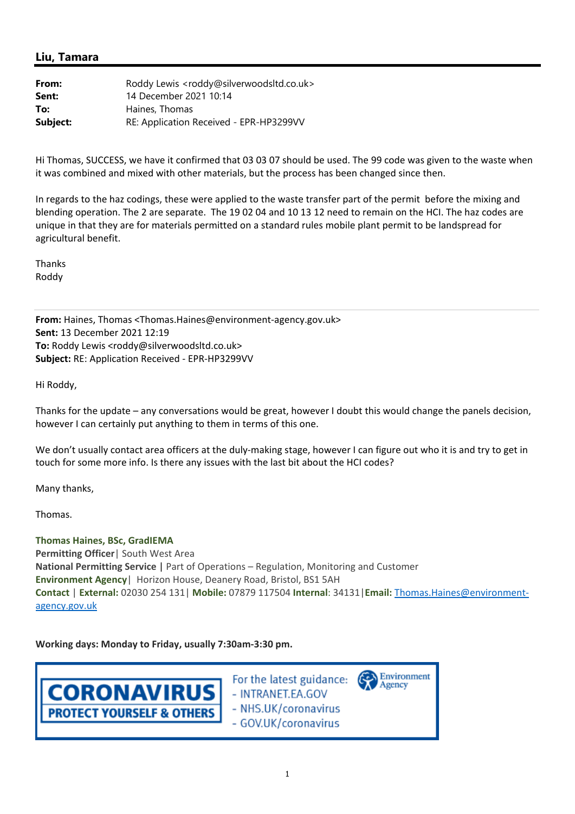## **Liu, Tamara**

| From:    | Roddy Lewis <roddy@silverwoodsltd.co.uk></roddy@silverwoodsltd.co.uk> |
|----------|-----------------------------------------------------------------------|
| Sent:    | 14 December 2021 10:14                                                |
| To:      | Haines, Thomas                                                        |
| Subject: | RE: Application Received - EPR-HP3299VV                               |

Hi Thomas, SUCCESS, we have it confirmed that 03 03 07 should be used. The 99 code was given to the waste when it was combined and mixed with other materials, but the process has been changed since then.

In regards to the haz codings, these were applied to the waste transfer part of the permit before the mixing and blending operation. The 2 are separate. The 19 02 04 and 10 13 12 need to remain on the HCI. The haz codes are unique in that they are for materials permitted on a standard rules mobile plant permit to be landspread for agricultural benefit.

Thanks Roddy

**From:** Haines, Thomas <Thomas.Haines@environment‐agency.gov.uk> **Sent:** 13 December 2021 12:19 **To:** Roddy Lewis <roddy@silverwoodsltd.co.uk> **Subject:** RE: Application Received ‐ EPR‐HP3299VV

Hi Roddy,

Thanks for the update – any conversations would be great, however I doubt this would change the panels decision, however I can certainly put anything to them in terms of this one.

We don't usually contact area officers at the duly-making stage, however I can figure out who it is and try to get in touch for some more info. Is there any issues with the last bit about the HCI codes?

Many thanks,

Thomas.

**Thomas Haines, BSc, GradIEMA Permitting Officer**| South West Area **National Permitting Service** | Part of Operations – Regulation, Monitoring and Customer **Environment Agency**| Horizon House, Deanery Road, Bristol, BS1 5AH **Contact** | **External:** 02030 254 131| **Mobile:** 07879 117504 **Internal**: 34131|**Email:** Thomas.Haines@environment‐ agency.gov.uk

**Working days: Monday to Friday, usually 7:30am‐3:30 pm.** 

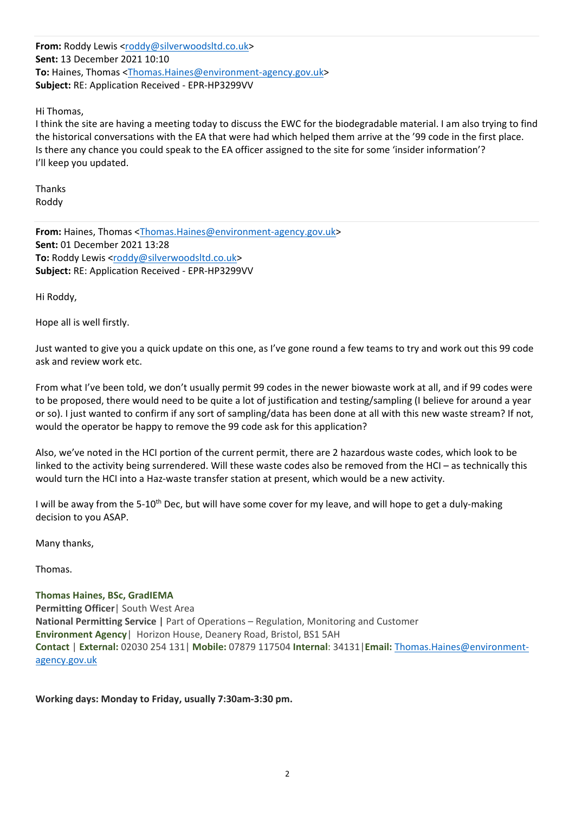**From:** Roddy Lewis <roddy@silverwoodsltd.co.uk> **Sent:** 13 December 2021 10:10 **To:** Haines, Thomas <Thomas.Haines@environment‐agency.gov.uk> **Subject:** RE: Application Received ‐ EPR‐HP3299VV

Hi Thomas,

I think the site are having a meeting today to discuss the EWC for the biodegradable material. I am also trying to find the historical conversations with the EA that were had which helped them arrive at the '99 code in the first place. Is there any chance you could speak to the EA officer assigned to the site for some 'insider information'? I'll keep you updated.

Thanks Roddy

**From:** Haines, Thomas <Thomas.Haines@environment‐agency.gov.uk> **Sent:** 01 December 2021 13:28 To: Roddy Lewis <roddy@silverwoodsltd.co.uk> **Subject:** RE: Application Received ‐ EPR‐HP3299VV

Hi Roddy,

Hope all is well firstly.

Just wanted to give you a quick update on this one, as I've gone round a few teams to try and work out this 99 code ask and review work etc.

From what I've been told, we don't usually permit 99 codes in the newer biowaste work at all, and if 99 codes were to be proposed, there would need to be quite a lot of justification and testing/sampling (I believe for around a year or so). I just wanted to confirm if any sort of sampling/data has been done at all with this new waste stream? If not, would the operator be happy to remove the 99 code ask for this application?

Also, we've noted in the HCI portion of the current permit, there are 2 hazardous waste codes, which look to be linked to the activity being surrendered. Will these waste codes also be removed from the HCI – as technically this would turn the HCI into a Haz-waste transfer station at present, which would be a new activity.

I will be away from the 5‐10th Dec, but will have some cover for my leave, and will hope to get a duly‐making decision to you ASAP.

Many thanks,

Thomas.

**Thomas Haines, BSc, GradIEMA Permitting Officer**| South West Area **National Permitting Service** | Part of Operations – Regulation, Monitoring and Customer **Environment Agency**| Horizon House, Deanery Road, Bristol, BS1 5AH **Contact** | **External:** 02030 254 131| **Mobile:** 07879 117504 **Internal**: 34131|**Email:** Thomas.Haines@environment‐ agency.gov.uk

**Working days: Monday to Friday, usually 7:30am‐3:30 pm.**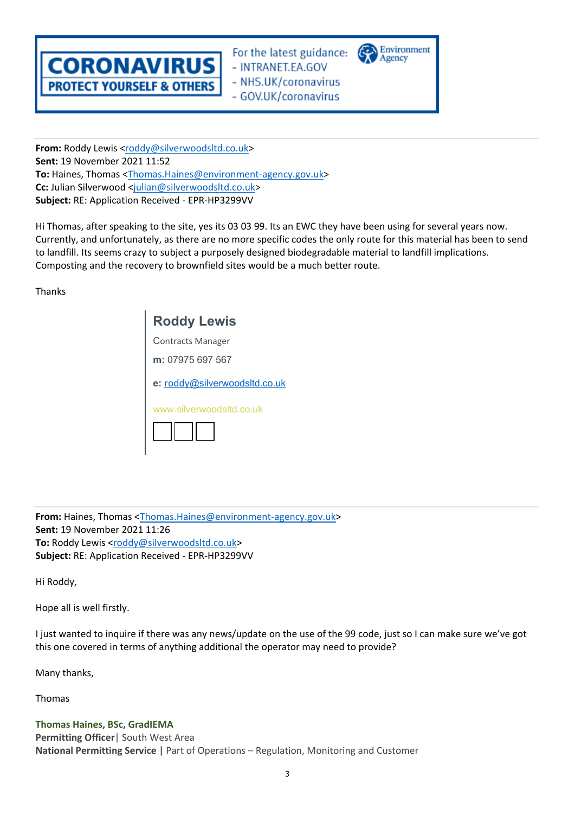

For the latest guidance: - INTRANET.EA.GOV - NHS.UK/coronavirus - GOV.UK/coronavirus



**From:** Roddy Lewis <roddy@silverwoodsltd.co.uk> **Sent:** 19 November 2021 11:52 **To:** Haines, Thomas <Thomas.Haines@environment‐agency.gov.uk> **Cc:** Julian Silverwood <julian@silverwoodsltd.co.uk> **Subject:** RE: Application Received ‐ EPR‐HP3299VV

Hi Thomas, after speaking to the site, yes its 03 03 99. Its an EWC they have been using for several years now. Currently, and unfortunately, as there are no more specific codes the only route for this material has been to send to landfill. Its seems crazy to subject a purposely designed biodegradable material to landfill implications. Composting and the recovery to brownfield sites would be a much better route.

Thanks

| <b>Roddy Lewis</b>            |  |
|-------------------------------|--|
| Contracts Manager             |  |
| m: 07975 697 567              |  |
| e: roddy@silverwoodsltd.co.uk |  |
| www.silverwoodsltd.co.uk      |  |

**From:** Haines, Thomas <Thomas.Haines@environment‐agency.gov.uk> **Sent:** 19 November 2021 11:26 To: Roddy Lewis <roddy@silverwoodsltd.co.uk> **Subject:** RE: Application Received ‐ EPR‐HP3299VV

Hi Roddy,

Hope all is well firstly.

I just wanted to inquire if there was any news/update on the use of the 99 code, just so I can make sure we've got this one covered in terms of anything additional the operator may need to provide?

Many thanks,

Thomas

**Thomas Haines, BSc, GradIEMA Permitting Officer**| South West Area **National Permitting Service** | Part of Operations – Regulation, Monitoring and Customer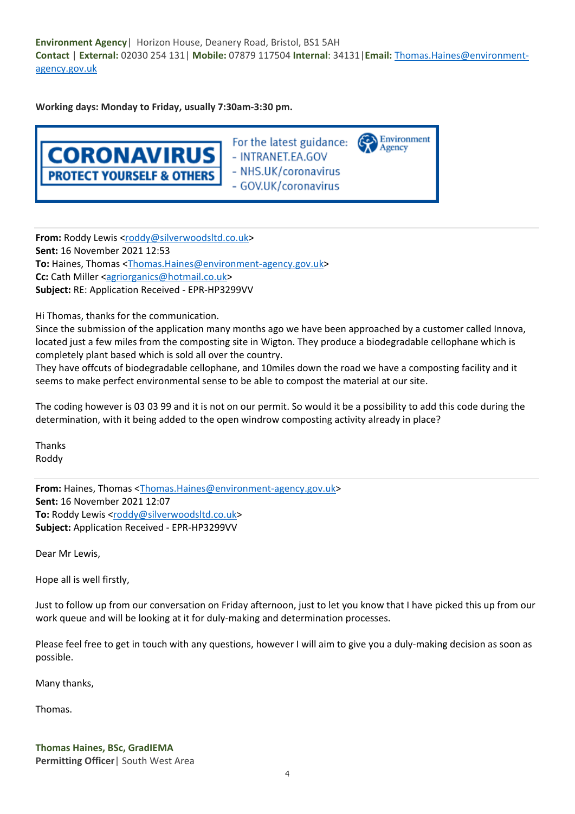**Environment Agency**| Horizon House, Deanery Road, Bristol, BS1 5AH **Contact** | **External:** 02030 254 131| **Mobile:** 07879 117504 **Internal**: 34131|**Email:** Thomas.Haines@environment‐ agency.gov.uk

**Working days: Monday to Friday, usually 7:30am‐3:30 pm.** 



From: Roddy Lewis <roddy@silverwoodsltd.co.uk> **Sent:** 16 November 2021 12:53 To: Haines, Thomas <Thomas.Haines@environment-agency.gov.uk> **Cc:** Cath Miller <agriorganics@hotmail.co.uk> **Subject:** RE: Application Received ‐ EPR‐HP3299VV

Hi Thomas, thanks for the communication.

Since the submission of the application many months ago we have been approached by a customer called Innova, located just a few miles from the composting site in Wigton. They produce a biodegradable cellophane which is completely plant based which is sold all over the country.

They have offcuts of biodegradable cellophane, and 10miles down the road we have a composting facility and it seems to make perfect environmental sense to be able to compost the material at our site.

The coding however is 03 03 99 and it is not on our permit. So would it be a possibility to add this code during the determination, with it being added to the open windrow composting activity already in place?

Thanks Roddy

**From:** Haines, Thomas <Thomas.Haines@environment‐agency.gov.uk> **Sent:** 16 November 2021 12:07 To: Roddy Lewis <roddy@silverwoodsltd.co.uk> **Subject:** Application Received ‐ EPR‐HP3299VV

Dear Mr Lewis,

Hope all is well firstly,

Just to follow up from our conversation on Friday afternoon, just to let you know that I have picked this up from our work queue and will be looking at it for duly-making and determination processes.

Please feel free to get in touch with any questions, however I will aim to give you a duly-making decision as soon as possible.

Many thanks,

Thomas.